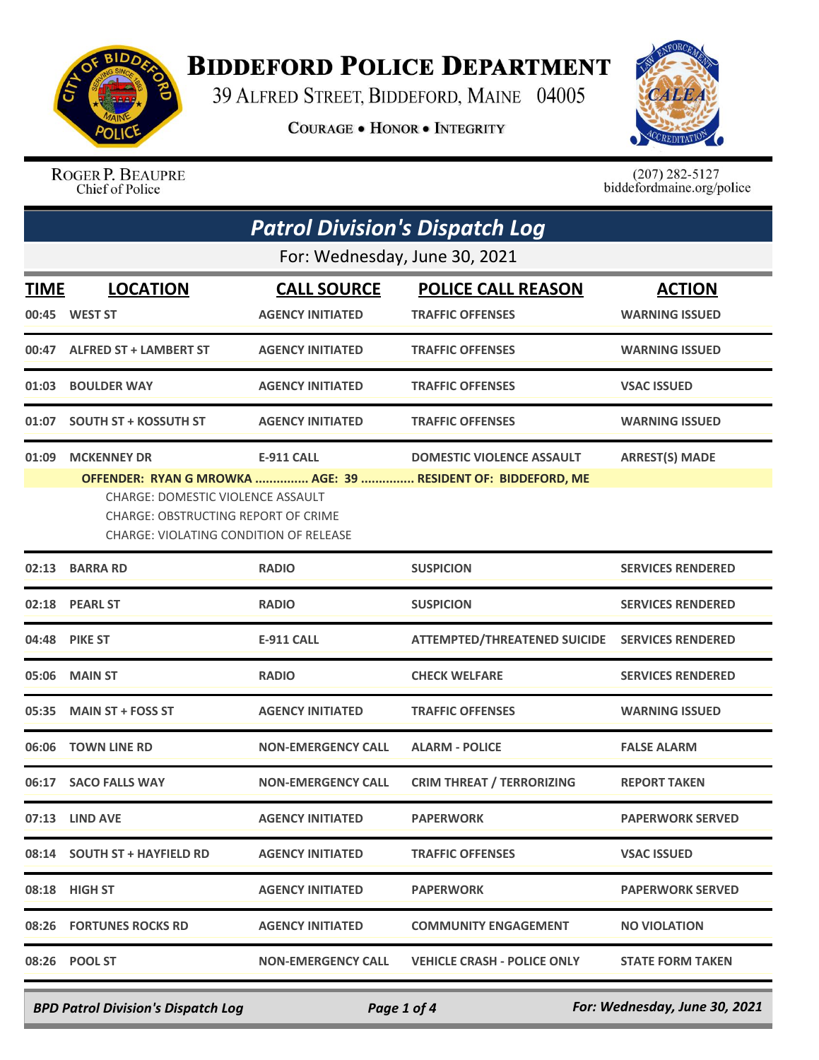

## **BIDDEFORD POLICE DEPARTMENT**

39 ALFRED STREET, BIDDEFORD, MAINE 04005

**COURAGE . HONOR . INTEGRITY** 



ROGER P. BEAUPRE Chief of Police

 $(207)$  282-5127<br>biddefordmaine.org/police

| <b>Patrol Division's Dispatch Log</b>                                                                                                                                                                                                                                                                                    |                                   |                                               |                                                      |                                        |  |
|--------------------------------------------------------------------------------------------------------------------------------------------------------------------------------------------------------------------------------------------------------------------------------------------------------------------------|-----------------------------------|-----------------------------------------------|------------------------------------------------------|----------------------------------------|--|
|                                                                                                                                                                                                                                                                                                                          | For: Wednesday, June 30, 2021     |                                               |                                                      |                                        |  |
| <b>TIME</b><br>00:45                                                                                                                                                                                                                                                                                                     | <b>LOCATION</b><br><b>WEST ST</b> | <b>CALL SOURCE</b><br><b>AGENCY INITIATED</b> | <b>POLICE CALL REASON</b><br><b>TRAFFIC OFFENSES</b> | <b>ACTION</b><br><b>WARNING ISSUED</b> |  |
| 00:47                                                                                                                                                                                                                                                                                                                    | <b>ALFRED ST + LAMBERT ST</b>     | <b>AGENCY INITIATED</b>                       | <b>TRAFFIC OFFENSES</b>                              | <b>WARNING ISSUED</b>                  |  |
| 01:03                                                                                                                                                                                                                                                                                                                    | <b>BOULDER WAY</b>                | <b>AGENCY INITIATED</b>                       | <b>TRAFFIC OFFENSES</b>                              | <b>VSAC ISSUED</b>                     |  |
| 01:07                                                                                                                                                                                                                                                                                                                    | <b>SOUTH ST + KOSSUTH ST</b>      | <b>AGENCY INITIATED</b>                       | <b>TRAFFIC OFFENSES</b>                              | <b>WARNING ISSUED</b>                  |  |
| <b>MCKENNEY DR</b><br><b>E-911 CALL</b><br><b>DOMESTIC VIOLENCE ASSAULT</b><br><b>ARREST(S) MADE</b><br>01:09<br>OFFENDER: RYAN G MROWKA  AGE: 39  RESIDENT OF: BIDDEFORD, ME<br><b>CHARGE: DOMESTIC VIOLENCE ASSAULT</b><br><b>CHARGE: OBSTRUCTING REPORT OF CRIME</b><br><b>CHARGE: VIOLATING CONDITION OF RELEASE</b> |                                   |                                               |                                                      |                                        |  |
|                                                                                                                                                                                                                                                                                                                          | 02:13 BARRA RD                    | <b>RADIO</b>                                  | <b>SUSPICION</b>                                     | <b>SERVICES RENDERED</b>               |  |
| 02:18                                                                                                                                                                                                                                                                                                                    | <b>PEARL ST</b>                   | <b>RADIO</b>                                  | <b>SUSPICION</b>                                     | <b>SERVICES RENDERED</b>               |  |
| 04:48                                                                                                                                                                                                                                                                                                                    | <b>PIKE ST</b>                    | <b>E-911 CALL</b>                             | <b>ATTEMPTED/THREATENED SUICIDE</b>                  | <b>SERVICES RENDERED</b>               |  |
| 05:06                                                                                                                                                                                                                                                                                                                    | <b>MAIN ST</b>                    | <b>RADIO</b>                                  | <b>CHECK WELFARE</b>                                 | <b>SERVICES RENDERED</b>               |  |
| 05:35                                                                                                                                                                                                                                                                                                                    | <b>MAIN ST + FOSS ST</b>          | <b>AGENCY INITIATED</b>                       | <b>TRAFFIC OFFENSES</b>                              | <b>WARNING ISSUED</b>                  |  |
| 06:06                                                                                                                                                                                                                                                                                                                    | <b>TOWN LINE RD</b>               | <b>NON-EMERGENCY CALL</b>                     | <b>ALARM - POLICE</b>                                | <b>FALSE ALARM</b>                     |  |
| 06:17                                                                                                                                                                                                                                                                                                                    | <b>SACO FALLS WAY</b>             | <b>NON-EMERGENCY CALL</b>                     | <b>CRIM THREAT / TERRORIZING</b>                     | <b>REPORT TAKEN</b>                    |  |
|                                                                                                                                                                                                                                                                                                                          | 07:13 LIND AVE                    | <b>AGENCY INITIATED</b>                       | <b>PAPERWORK</b>                                     | <b>PAPERWORK SERVED</b>                |  |
|                                                                                                                                                                                                                                                                                                                          | 08:14 SOUTH ST + HAYFIELD RD      | <b>AGENCY INITIATED</b>                       | <b>TRAFFIC OFFENSES</b>                              | <b>VSAC ISSUED</b>                     |  |
|                                                                                                                                                                                                                                                                                                                          | 08:18 HIGH ST                     | <b>AGENCY INITIATED</b>                       | <b>PAPERWORK</b>                                     | <b>PAPERWORK SERVED</b>                |  |
|                                                                                                                                                                                                                                                                                                                          | 08:26 FORTUNES ROCKS RD           | <b>AGENCY INITIATED</b>                       | <b>COMMUNITY ENGAGEMENT</b>                          | <b>NO VIOLATION</b>                    |  |
|                                                                                                                                                                                                                                                                                                                          | 08:26 POOL ST                     | <b>NON-EMERGENCY CALL</b>                     | <b>VEHICLE CRASH - POLICE ONLY</b>                   | <b>STATE FORM TAKEN</b>                |  |

*BPD Patrol Division's Dispatch Log Page 1 of 4 For: Wednesday, June 30, 2021*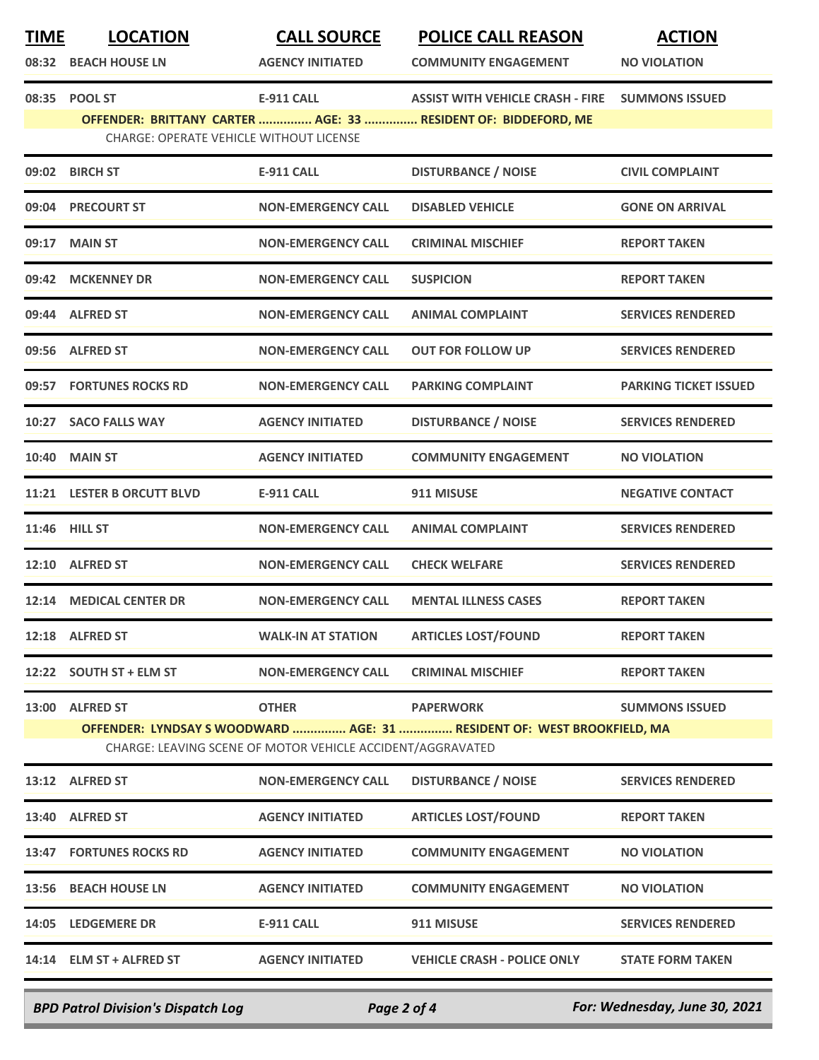| <b>TIME</b> | <b>LOCATION</b>                         | <b>CALL SOURCE</b>                                         | <b>POLICE CALL REASON</b>                                               | <b>ACTION</b>                |
|-------------|-----------------------------------------|------------------------------------------------------------|-------------------------------------------------------------------------|------------------------------|
| 08:32       | <b>BEACH HOUSE LN</b>                   | <b>AGENCY INITIATED</b>                                    | <b>COMMUNITY ENGAGEMENT</b>                                             | <b>NO VIOLATION</b>          |
| 08:35       | <b>POOL ST</b>                          | <b>E-911 CALL</b>                                          | <b>ASSIST WITH VEHICLE CRASH - FIRE</b>                                 | <b>SUMMONS ISSUED</b>        |
|             | CHARGE: OPERATE VEHICLE WITHOUT LICENSE |                                                            | OFFENDER: BRITTANY CARTER  AGE: 33  RESIDENT OF: BIDDEFORD, ME          |                              |
|             | 09:02 BIRCH ST                          | <b>E-911 CALL</b>                                          | <b>DISTURBANCE / NOISE</b>                                              | <b>CIVIL COMPLAINT</b>       |
| 09:04       | <b>PRECOURT ST</b>                      | <b>NON-EMERGENCY CALL</b>                                  | <b>DISABLED VEHICLE</b>                                                 | <b>GONE ON ARRIVAL</b>       |
| 09:17       | <b>MAIN ST</b>                          | <b>NON-EMERGENCY CALL</b>                                  | <b>CRIMINAL MISCHIEF</b>                                                | <b>REPORT TAKEN</b>          |
| 09:42       | <b>MCKENNEY DR</b>                      | <b>NON-EMERGENCY CALL</b>                                  | <b>SUSPICION</b>                                                        | <b>REPORT TAKEN</b>          |
|             | 09:44 ALFRED ST                         | <b>NON-EMERGENCY CALL</b>                                  | <b>ANIMAL COMPLAINT</b>                                                 | <b>SERVICES RENDERED</b>     |
| 09:56       | <b>ALFRED ST</b>                        | <b>NON-EMERGENCY CALL</b>                                  | <b>OUT FOR FOLLOW UP</b>                                                | <b>SERVICES RENDERED</b>     |
|             | 09:57 FORTUNES ROCKS RD                 | <b>NON-EMERGENCY CALL</b>                                  | <b>PARKING COMPLAINT</b>                                                | <b>PARKING TICKET ISSUED</b> |
|             | 10:27 SACO FALLS WAY                    | <b>AGENCY INITIATED</b>                                    | <b>DISTURBANCE / NOISE</b>                                              | <b>SERVICES RENDERED</b>     |
| 10:40       | <b>MAIN ST</b>                          | <b>AGENCY INITIATED</b>                                    | <b>COMMUNITY ENGAGEMENT</b>                                             | <b>NO VIOLATION</b>          |
|             | 11:21 LESTER B ORCUTT BLVD              | <b>E-911 CALL</b>                                          | 911 MISUSE                                                              | <b>NEGATIVE CONTACT</b>      |
|             | 11:46 HILL ST                           | <b>NON-EMERGENCY CALL</b>                                  | <b>ANIMAL COMPLAINT</b>                                                 | <b>SERVICES RENDERED</b>     |
|             | 12:10 ALFRED ST                         | <b>NON-EMERGENCY CALL</b>                                  | <b>CHECK WELFARE</b>                                                    | <b>SERVICES RENDERED</b>     |
| 12:14       | <b>MEDICAL CENTER DR</b>                | <b>NON-EMERGENCY CALL</b>                                  | <b>MENTAL ILLNESS CASES</b>                                             | <b>REPORT TAKEN</b>          |
|             | 12:18 ALFRED ST                         | <b>WALK-IN AT STATION</b>                                  | <b>ARTICLES LOST/FOUND</b>                                              | <b>REPORT TAKEN</b>          |
|             | 12:22 SOUTH ST + ELM ST                 | <b>NON-EMERGENCY CALL</b>                                  | <b>CRIMINAL MISCHIEF</b>                                                | <b>REPORT TAKEN</b>          |
|             | 13:00 ALFRED ST                         | <b>OTHER</b>                                               | <b>PAPERWORK</b>                                                        | <b>SUMMONS ISSUED</b>        |
|             |                                         | CHARGE: LEAVING SCENE OF MOTOR VEHICLE ACCIDENT/AGGRAVATED | OFFENDER: LYNDSAY S WOODWARD  AGE: 31  RESIDENT OF: WEST BROOKFIELD, MA |                              |
|             | 13:12 ALFRED ST                         | <b>NON-EMERGENCY CALL</b>                                  | <b>DISTURBANCE / NOISE</b>                                              | <b>SERVICES RENDERED</b>     |
|             | 13:40 ALFRED ST                         | <b>AGENCY INITIATED</b>                                    | <b>ARTICLES LOST/FOUND</b>                                              | <b>REPORT TAKEN</b>          |
|             | <b>13:47 FORTUNES ROCKS RD</b>          | <b>AGENCY INITIATED</b>                                    | <b>COMMUNITY ENGAGEMENT</b>                                             | <b>NO VIOLATION</b>          |
|             | 13:56 BEACH HOUSE LN                    | <b>AGENCY INITIATED</b>                                    | <b>COMMUNITY ENGAGEMENT</b>                                             | <b>NO VIOLATION</b>          |
|             | 14:05 LEDGEMERE DR                      | <b>E-911 CALL</b>                                          | 911 MISUSE                                                              | <b>SERVICES RENDERED</b>     |
|             | 14:14 ELM ST + ALFRED ST                | <b>AGENCY INITIATED</b>                                    | <b>VEHICLE CRASH - POLICE ONLY</b>                                      | <b>STATE FORM TAKEN</b>      |
|             |                                         |                                                            |                                                                         |                              |

*BPD Patrol Division's Dispatch Log Page 2 of 4 For: Wednesday, June 30, 2021*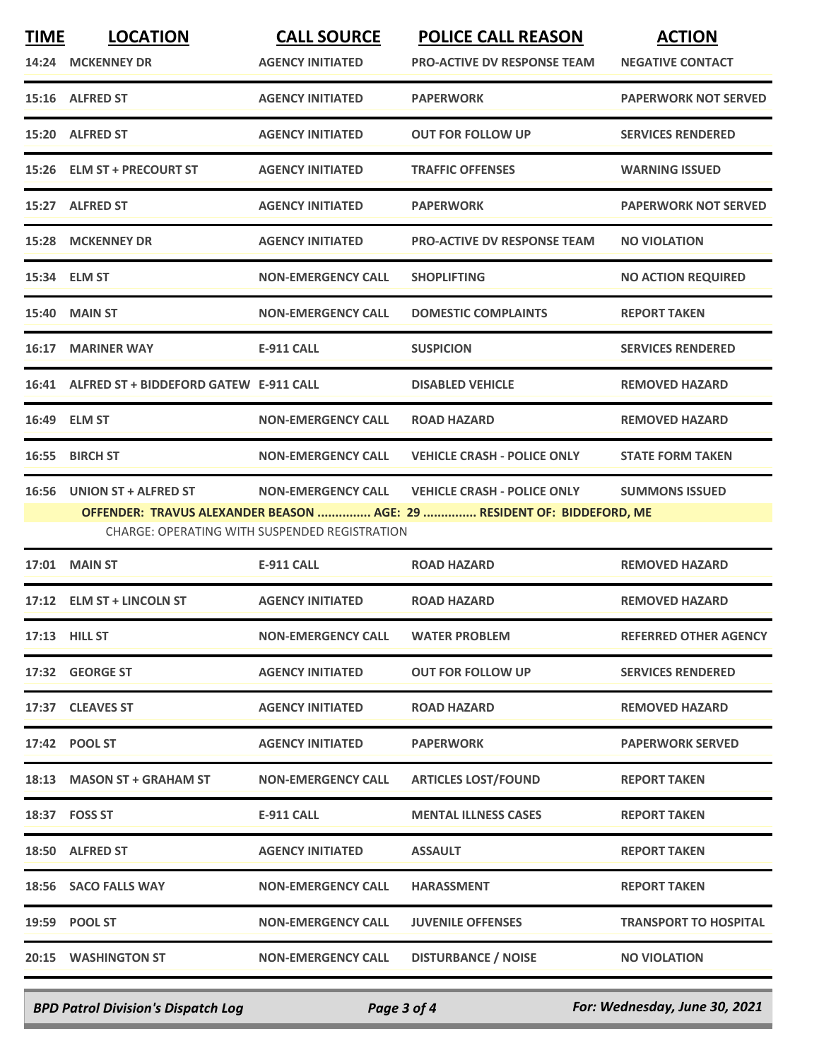| <b>TIME</b><br>14:24 | <b>LOCATION</b><br><b>MCKENNEY DR</b>        | <b>CALL SOURCE</b><br><b>AGENCY INITIATED</b>        | <b>POLICE CALL REASON</b><br><b>PRO-ACTIVE DV RESPONSE TEAM</b>        | <b>ACTION</b><br><b>NEGATIVE CONTACT</b> |
|----------------------|----------------------------------------------|------------------------------------------------------|------------------------------------------------------------------------|------------------------------------------|
|                      | 15:16 ALFRED ST                              | <b>AGENCY INITIATED</b>                              | <b>PAPERWORK</b>                                                       | <b>PAPERWORK NOT SERVED</b>              |
| 15:20                | <b>ALFRED ST</b>                             | <b>AGENCY INITIATED</b>                              | <b>OUT FOR FOLLOW UP</b>                                               | <b>SERVICES RENDERED</b>                 |
|                      | 15:26 ELM ST + PRECOURT ST                   | <b>AGENCY INITIATED</b>                              | <b>TRAFFIC OFFENSES</b>                                                | <b>WARNING ISSUED</b>                    |
|                      | 15:27 ALFRED ST                              | <b>AGENCY INITIATED</b>                              | <b>PAPERWORK</b>                                                       | <b>PAPERWORK NOT SERVED</b>              |
| 15:28                | <b>MCKENNEY DR</b>                           | <b>AGENCY INITIATED</b>                              | <b>PRO-ACTIVE DV RESPONSE TEAM</b>                                     | <b>NO VIOLATION</b>                      |
|                      | 15:34 ELM ST                                 | <b>NON-EMERGENCY CALL</b>                            | <b>SHOPLIFTING</b>                                                     | <b>NO ACTION REQUIRED</b>                |
| 15:40                | <b>MAIN ST</b>                               | <b>NON-EMERGENCY CALL</b>                            | <b>DOMESTIC COMPLAINTS</b>                                             | <b>REPORT TAKEN</b>                      |
|                      | <b>16:17 MARINER WAY</b>                     | <b>E-911 CALL</b>                                    | <b>SUSPICION</b>                                                       | <b>SERVICES RENDERED</b>                 |
|                      | 16:41 ALFRED ST + BIDDEFORD GATEW E-911 CALL |                                                      | <b>DISABLED VEHICLE</b>                                                | <b>REMOVED HAZARD</b>                    |
|                      | 16:49 ELM ST                                 | <b>NON-EMERGENCY CALL</b>                            | <b>ROAD HAZARD</b>                                                     | <b>REMOVED HAZARD</b>                    |
| 16:55                | <b>BIRCH ST</b>                              | <b>NON-EMERGENCY CALL</b>                            | <b>VEHICLE CRASH - POLICE ONLY</b>                                     | <b>STATE FORM TAKEN</b>                  |
| 16:56                | UNION ST + ALFRED ST                         | <b>NON-EMERGENCY CALL</b>                            | <b>VEHICLE CRASH - POLICE ONLY</b>                                     | <b>SUMMONS ISSUED</b>                    |
|                      |                                              | <b>CHARGE: OPERATING WITH SUSPENDED REGISTRATION</b> | OFFENDER: TRAVUS ALEXANDER BEASON  AGE: 29  RESIDENT OF: BIDDEFORD, ME |                                          |
| 17:01                | <b>MAIN ST</b>                               | <b>E-911 CALL</b>                                    | <b>ROAD HAZARD</b>                                                     | <b>REMOVED HAZARD</b>                    |
| 17:12                | <b>ELM ST + LINCOLN ST</b>                   | <b>AGENCY INITIATED</b>                              | <b>ROAD HAZARD</b>                                                     | <b>REMOVED HAZARD</b>                    |
|                      | 17:13 HILL ST                                | <b>NON-EMERGENCY CALL</b>                            | <b>WATER PROBLEM</b>                                                   | <b>REFERRED OTHER AGENCY</b>             |
|                      | 17:32 GEORGE ST                              | <b>AGENCY INITIATED</b>                              | <b>OUT FOR FOLLOW UP</b>                                               | <b>SERVICES RENDERED</b>                 |
|                      | 17:37 CLEAVES ST                             | <b>AGENCY INITIATED</b>                              | <b>ROAD HAZARD</b>                                                     | <b>REMOVED HAZARD</b>                    |
|                      | 17:42 POOL ST                                | <b>AGENCY INITIATED</b>                              | <b>PAPERWORK</b>                                                       | <b>PAPERWORK SERVED</b>                  |
|                      | 18:13 MASON ST + GRAHAM ST                   | <b>NON-EMERGENCY CALL</b>                            | <b>ARTICLES LOST/FOUND</b>                                             | <b>REPORT TAKEN</b>                      |
|                      | 18:37 FOSS ST                                | E-911 CALL                                           | <b>MENTAL ILLNESS CASES</b>                                            | <b>REPORT TAKEN</b>                      |
|                      | 18:50 ALFRED ST                              | <b>AGENCY INITIATED</b>                              | <b>ASSAULT</b>                                                         | <b>REPORT TAKEN</b>                      |
|                      | 18:56 SACO FALLS WAY                         | <b>NON-EMERGENCY CALL</b>                            | <b>HARASSMENT</b>                                                      | <b>REPORT TAKEN</b>                      |
|                      | 19:59 POOL ST                                | <b>NON-EMERGENCY CALL</b>                            | <b>JUVENILE OFFENSES</b>                                               | <b>TRANSPORT TO HOSPITAL</b>             |
|                      | 20:15 WASHINGTON ST                          | <b>NON-EMERGENCY CALL</b>                            | <b>DISTURBANCE / NOISE</b>                                             | <b>NO VIOLATION</b>                      |
|                      |                                              |                                                      |                                                                        |                                          |

*BPD Patrol Division's Dispatch Log Page 3 of 4 For: Wednesday, June 30, 2021*